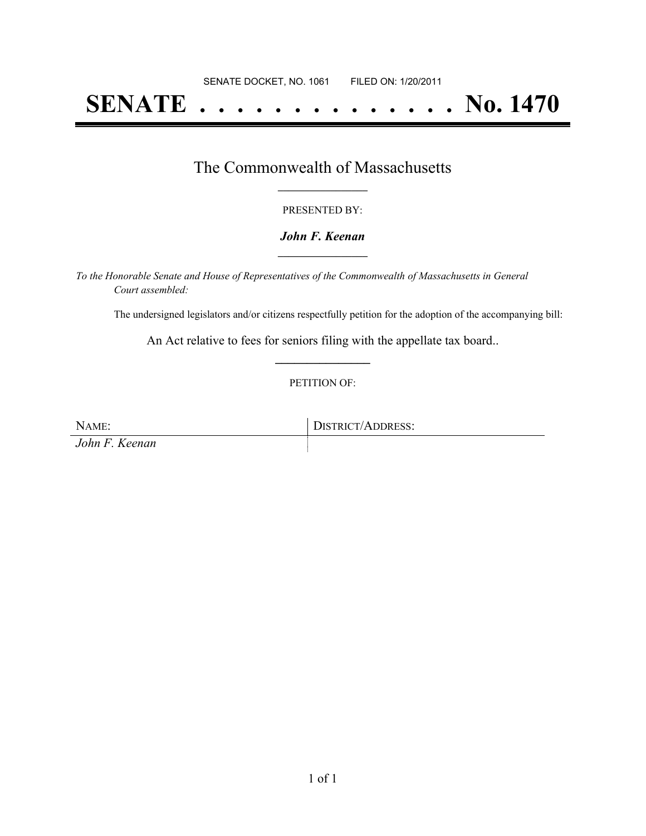# **SENATE . . . . . . . . . . . . . . No. 1470**

## The Commonwealth of Massachusetts **\_\_\_\_\_\_\_\_\_\_\_\_\_\_\_\_\_**

#### PRESENTED BY:

#### *John F. Keenan* **\_\_\_\_\_\_\_\_\_\_\_\_\_\_\_\_\_**

*To the Honorable Senate and House of Representatives of the Commonwealth of Massachusetts in General Court assembled:*

The undersigned legislators and/or citizens respectfully petition for the adoption of the accompanying bill:

An Act relative to fees for seniors filing with the appellate tax board.. **\_\_\_\_\_\_\_\_\_\_\_\_\_\_\_**

#### PETITION OF:

NAME: DISTRICT/ADDRESS: *John F. Keenan*